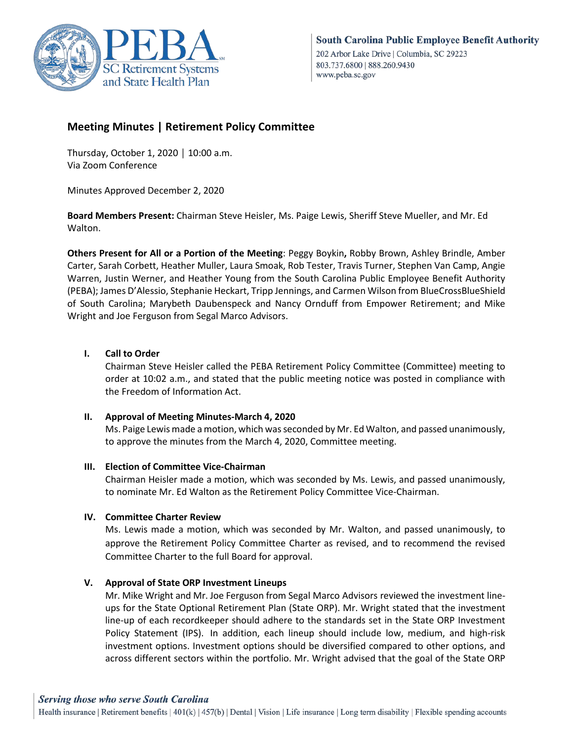

# **Meeting Minutes | Retirement Policy Committee**

Thursday, October 1, 2020 │ 10:00 a.m. Via Zoom Conference

Minutes Approved December 2, 2020

**Board Members Present:** Chairman Steve Heisler, Ms. Paige Lewis, Sheriff Steve Mueller, and Mr. Ed Walton.

**Others Present for All or a Portion of the Meeting**: Peggy Boykin**,** Robby Brown, Ashley Brindle, Amber Carter, Sarah Corbett, Heather Muller, Laura Smoak, Rob Tester, Travis Turner, Stephen Van Camp, Angie Warren, Justin Werner, and Heather Young from the South Carolina Public Employee Benefit Authority (PEBA); James D'Alessio, Stephanie Heckart, Tripp Jennings, and Carmen Wilson from BlueCrossBlueShield of South Carolina; Marybeth Daubenspeck and Nancy Ornduff from Empower Retirement; and Mike Wright and Joe Ferguson from Segal Marco Advisors.

# **I. Call to Order**

Chairman Steve Heisler called the PEBA Retirement Policy Committee (Committee) meeting to order at 10:02 a.m., and stated that the public meeting notice was posted in compliance with the Freedom of Information Act.

### **II. Approval of Meeting Minutes-March 4, 2020**

Ms. Paige Lewis made a motion, which was seconded by Mr. Ed Walton, and passed unanimously, to approve the minutes from the March 4, 2020, Committee meeting.

### **III. Election of Committee Vice-Chairman**

Chairman Heisler made a motion, which was seconded by Ms. Lewis, and passed unanimously, to nominate Mr. Ed Walton as the Retirement Policy Committee Vice-Chairman.

# **IV. Committee Charter Review**

Ms. Lewis made a motion, which was seconded by Mr. Walton, and passed unanimously, to approve the Retirement Policy Committee Charter as revised, and to recommend the revised Committee Charter to the full Board for approval.

# **V. Approval of State ORP Investment Lineups**

Mr. Mike Wright and Mr. Joe Ferguson from Segal Marco Advisors reviewed the investment lineups for the State Optional Retirement Plan (State ORP). Mr. Wright stated that the investment line-up of each recordkeeper should adhere to the standards set in the State ORP Investment Policy Statement (IPS). In addition, each lineup should include low, medium, and high-risk investment options. Investment options should be diversified compared to other options, and across different sectors within the portfolio. Mr. Wright advised that the goal of the State ORP